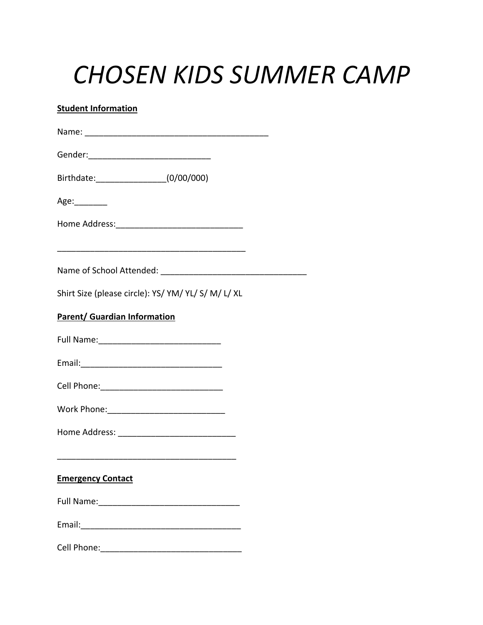## *CHOSEN KIDS SUMMER CAMP*

## **Student Information**

| Birthdate: (0/00/000)                                                                      |  |
|--------------------------------------------------------------------------------------------|--|
| Age:________                                                                               |  |
|                                                                                            |  |
|                                                                                            |  |
|                                                                                            |  |
| Shirt Size (please circle): YS/ YM/ YL/ S/ M/ L/ XL<br><b>Parent/ Guardian Information</b> |  |
|                                                                                            |  |
|                                                                                            |  |
|                                                                                            |  |
|                                                                                            |  |
|                                                                                            |  |
| <b>Emergency Contact</b>                                                                   |  |
|                                                                                            |  |
|                                                                                            |  |
| Cell Phone: <u>________________________</u>                                                |  |